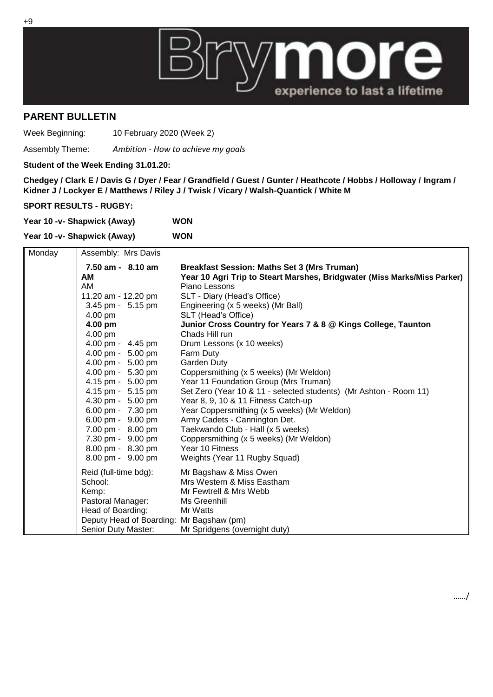

## **PARENT BULLETIN**

Week Beginning: 10 February 2020 (Week 2)

Assembly Theme: *Ambition - How to achieve my goals*

**Student of the Week Ending 31.01.20:**

**Chedgey / Clark E / Davis G / Dyer / Fear / Grandfield / Guest / Gunter / Heathcote / Hobbs / Holloway / Ingram / Kidner J / Lockyer E / Matthews / Riley J / Twisk / Vicary / Walsh-Quantick / White M**

**SPORT RESULTS - RUGBY:**

| Year 10 -v- Shapwick (Away) | <b>WON</b> |
|-----------------------------|------------|
|                             |            |

|        | Year 10 -v- Shapwick (Away)              |                                                                          |
|--------|------------------------------------------|--------------------------------------------------------------------------|
| Monday | Assembly: Mrs Davis                      |                                                                          |
|        | 7.50 am - 8.10 am                        | <b>Breakfast Session: Maths Set 3 (Mrs Truman)</b>                       |
|        | AM                                       | Year 10 Agri Trip to Steart Marshes, Bridgwater (Miss Marks/Miss Parker) |
|        | AM                                       | Piano Lessons                                                            |
|        | 11.20 am - 12.20 pm                      | SLT - Diary (Head's Office)                                              |
|        | 3.45 pm - 5.15 pm                        | Engineering (x 5 weeks) (Mr Ball)                                        |
|        | 4.00 pm                                  | SLT (Head's Office)                                                      |
|        | 4.00 pm                                  | Junior Cross Country for Years 7 & 8 @ Kings College, Taunton            |
|        | 4.00 pm                                  | Chads Hill run                                                           |
|        | 4.00 pm - 4.45 pm                        | Drum Lessons (x 10 weeks)                                                |
|        | 4.00 pm - 5.00 pm                        | Farm Duty                                                                |
|        | 4.00 pm - 5.00 pm                        | Garden Duty                                                              |
|        | 4.00 pm - 5.30 pm                        | Coppersmithing (x 5 weeks) (Mr Weldon)                                   |
|        | 4.15 pm - 5.00 pm                        | Year 11 Foundation Group (Mrs Truman)                                    |
|        | 4.15 pm - 5.15 pm                        | Set Zero (Year 10 & 11 - selected students) (Mr Ashton - Room 11)        |
|        | 4.30 pm - 5.00 pm                        | Year 8, 9, 10 & 11 Fitness Catch-up                                      |
|        | 6.00 pm - 7.30 pm                        | Year Coppersmithing (x 5 weeks) (Mr Weldon)                              |
|        | 6.00 pm - 9.00 pm                        | Army Cadets - Cannington Det.                                            |
|        | 7.00 pm - 8.00 pm                        | Taekwando Club - Hall (x 5 weeks)                                        |
|        | 7.30 pm - 9.00 pm                        | Coppersmithing (x 5 weeks) (Mr Weldon)                                   |
|        | 8.00 pm - 8.30 pm                        | Year 10 Fitness                                                          |
|        | 8.00 pm - 9.00 pm                        | Weights (Year 11 Rugby Squad)                                            |
|        | Reid (full-time bdg):                    | Mr Bagshaw & Miss Owen                                                   |
|        | School:                                  | Mrs Western & Miss Eastham                                               |
|        | Kemp:                                    | Mr Fewtrell & Mrs Webb                                                   |
|        | Pastoral Manager:                        | Ms Greenhill                                                             |
|        | Head of Boarding:                        | Mr Watts                                                                 |
|        | Deputy Head of Boarding: Mr Bagshaw (pm) |                                                                          |
|        | Senior Duty Master:                      | Mr Spridgens (overnight duty)                                            |

……/

+9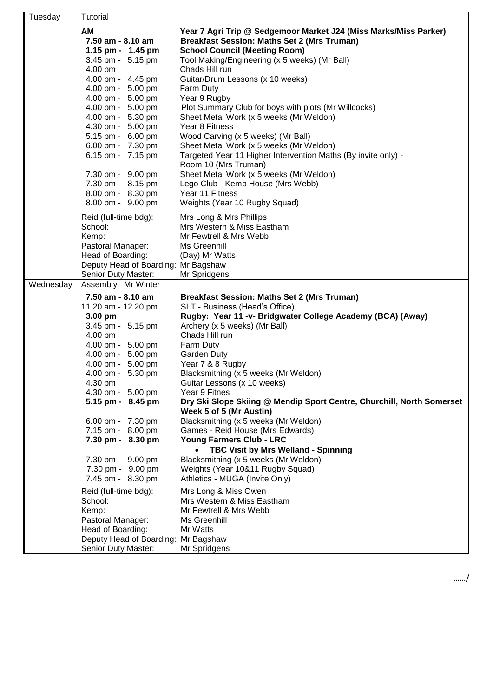| Tuesday   | Tutorial                                                                                                                                          |                                                                                                                                                                                                                                                                       |
|-----------|---------------------------------------------------------------------------------------------------------------------------------------------------|-----------------------------------------------------------------------------------------------------------------------------------------------------------------------------------------------------------------------------------------------------------------------|
|           | AM<br>7.50 am - 8.10 am<br>1.15 pm - 1.45 pm<br>3.45 pm - 5.15 pm<br>4.00 pm<br>4.00 pm - 4.45 pm                                                 | Year 7 Agri Trip @ Sedgemoor Market J24 (Miss Marks/Miss Parker)<br><b>Breakfast Session: Maths Set 2 (Mrs Truman)</b><br><b>School Council (Meeting Room)</b><br>Tool Making/Engineering (x 5 weeks) (Mr Ball)<br>Chads Hill run<br>Guitar/Drum Lessons (x 10 weeks) |
|           | 4.00 pm - 5.00 pm<br>4.00 pm - 5.00 pm<br>4.00 pm - 5.00 pm<br>4.00 pm - 5.30 pm<br>4.30 pm - 5.00 pm<br>5.15 pm - 6.00 pm<br>6.00 pm - 7.30 pm   | Farm Duty<br>Year 9 Rugby<br>Plot Summary Club for boys with plots (Mr Willcocks)<br>Sheet Metal Work (x 5 weeks (Mr Weldon)<br>Year 8 Fitness<br>Wood Carving (x 5 weeks) (Mr Ball)<br>Sheet Metal Work (x 5 weeks (Mr Weldon)                                       |
|           | 6.15 pm - 7.15 pm<br>7.30 pm - 9.00 pm<br>7.30 pm - 8.15 pm<br>8.00 pm - 8.30 pm<br>8.00 pm - 9.00 pm                                             | Targeted Year 11 Higher Intervention Maths (By invite only) -<br>Room 10 (Mrs Truman)<br>Sheet Metal Work (x 5 weeks (Mr Weldon)<br>Lego Club - Kemp House (Mrs Webb)<br>Year 11 Fitness<br>Weights (Year 10 Rugby Squad)                                             |
|           | Reid (full-time bdg):<br>School:<br>Kemp:<br>Pastoral Manager:<br>Head of Boarding:<br>Deputy Head of Boarding: Mr Bagshaw<br>Senior Duty Master: | Mrs Long & Mrs Phillips<br>Mrs Western & Miss Eastham<br>Mr Fewtrell & Mrs Webb<br>Ms Greenhill<br>(Day) Mr Watts<br>Mr Spridgens                                                                                                                                     |
| Wednesday | Assembly: Mr Winter                                                                                                                               |                                                                                                                                                                                                                                                                       |
|           | 7.50 am - 8.10 am                                                                                                                                 | <b>Breakfast Session: Maths Set 2 (Mrs Truman)</b>                                                                                                                                                                                                                    |
|           | 11.20 am - 12.20 pm<br>3.00 pm<br>3.45 pm - 5.15 pm<br>4.00 pm<br>4.00 pm - 5.00 pm<br>4.00 pm - 5.00 pm                                          | SLT - Business (Head's Office)<br>Rugby: Year 11 -v- Bridgwater College Academy (BCA) (Away)<br>Archery (x 5 weeks) (Mr Ball)<br>Chads Hill run<br>Farm Duty<br>Garden Duty                                                                                           |
|           | 4.00 pm - 5.00 pm<br>4.00 pm - 5.30 pm<br>4.30 pm<br>4.30 pm - 5.00 pm                                                                            | Year 7 & 8 Rugby<br>Blacksmithing (x 5 weeks (Mr Weldon)<br>Guitar Lessons (x 10 weeks)<br>Year 9 Fitnes                                                                                                                                                              |
|           | 5.15 pm - 8.45 pm<br>6.00 pm - 7.30 pm<br>7.15 pm - 8.00 pm<br>7.30 pm - 8.30 pm                                                                  | Dry Ski Slope Skiing @ Mendip Sport Centre, Churchill, North Somerset<br>Week 5 of 5 (Mr Austin)<br>Blacksmithing (x 5 weeks (Mr Weldon)<br>Games - Reid House (Mrs Edwards)<br>Young Farmers Club - LRC                                                              |
|           | 7.30 pm - 9.00 pm<br>7.30 pm - 9.00 pm<br>7.45 pm - 8.30 pm                                                                                       | TBC Visit by Mrs Welland - Spinning<br>Blacksmithing (x 5 weeks (Mr Weldon)<br>Weights (Year 10&11 Rugby Squad)<br>Athletics - MUGA (Invite Only)                                                                                                                     |
|           | Reid (full-time bdg):<br>School:<br>Kemp:<br>Pastoral Manager:<br>Head of Boarding:<br>Deputy Head of Boarding: Mr Bagshaw<br>Senior Duty Master: | Mrs Long & Miss Owen<br>Mrs Western & Miss Eastham<br>Mr Fewtrell & Mrs Webb<br>Ms Greenhill<br>Mr Watts<br>Mr Spridgens                                                                                                                                              |

……/